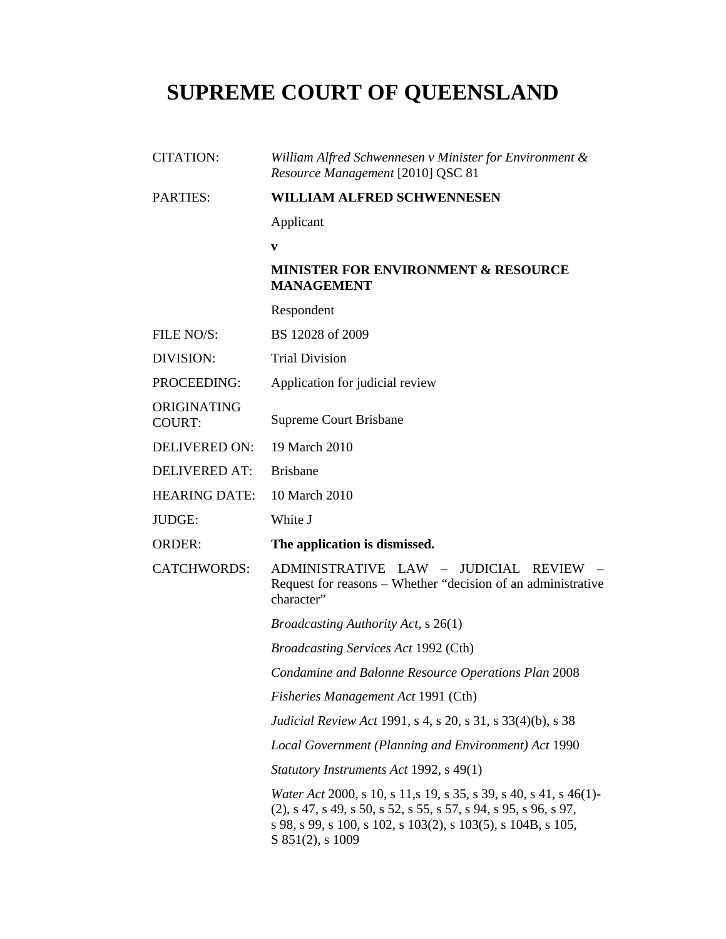# **SUPREME COURT OF QUEENSLAND**

| <b>CITATION:</b>             | William Alfred Schwennesen v Minister for Environment &<br>Resource Management [2010] QSC 81                                                                                                                                         |
|------------------------------|--------------------------------------------------------------------------------------------------------------------------------------------------------------------------------------------------------------------------------------|
| <b>PARTIES:</b>              | <b>WILLIAM ALFRED SCHWENNESEN</b>                                                                                                                                                                                                    |
|                              | Applicant                                                                                                                                                                                                                            |
|                              | V                                                                                                                                                                                                                                    |
|                              | <b>MINISTER FOR ENVIRONMENT &amp; RESOURCE</b><br><b>MANAGEMENT</b>                                                                                                                                                                  |
|                              | Respondent                                                                                                                                                                                                                           |
| FILE NO/S:                   | BS 12028 of 2009                                                                                                                                                                                                                     |
| DIVISION:                    | <b>Trial Division</b>                                                                                                                                                                                                                |
| PROCEEDING:                  | Application for judicial review                                                                                                                                                                                                      |
| ORIGINATING<br><b>COURT:</b> | Supreme Court Brisbane                                                                                                                                                                                                               |
| <b>DELIVERED ON:</b>         | 19 March 2010                                                                                                                                                                                                                        |
| <b>DELIVERED AT:</b>         | <b>Brisbane</b>                                                                                                                                                                                                                      |
| <b>HEARING DATE:</b>         | 10 March 2010                                                                                                                                                                                                                        |
| <b>JUDGE:</b>                | White J                                                                                                                                                                                                                              |
| <b>ORDER:</b>                | The application is dismissed.                                                                                                                                                                                                        |
| <b>CATCHWORDS:</b>           | ADMINISTRATIVE LAW - JUDICIAL REVIEW<br>Request for reasons – Whether "decision of an administrative"<br>character"                                                                                                                  |
|                              | <i>Broadcasting Authority Act, s</i> 26(1)                                                                                                                                                                                           |
|                              | <b>Broadcasting Services Act 1992 (Cth)</b>                                                                                                                                                                                          |
|                              | Condamine and Balonne Resource Operations Plan 2008                                                                                                                                                                                  |
|                              | Fisheries Management Act 1991 (Cth)                                                                                                                                                                                                  |
|                              | Judicial Review Act 1991, s 4, s 20, s 31, s 33(4)(b), s 38                                                                                                                                                                          |
|                              | Local Government (Planning and Environment) Act 1990                                                                                                                                                                                 |
|                              | Statutory Instruments Act 1992, s 49(1)                                                                                                                                                                                              |
|                              | <i>Water Act</i> 2000, s 10, s 11, s 19, s 35, s 39, s 40, s 41, s 46(1)-<br>$(2)$ , s 47, s 49, s 50, s 52, s 55, s 57, s 94, s 95, s 96, s 97,<br>s 98, s 99, s 100, s 102, s 103(2), s 103(5), s 104B, s 105,<br>S 851(2), s 1009 |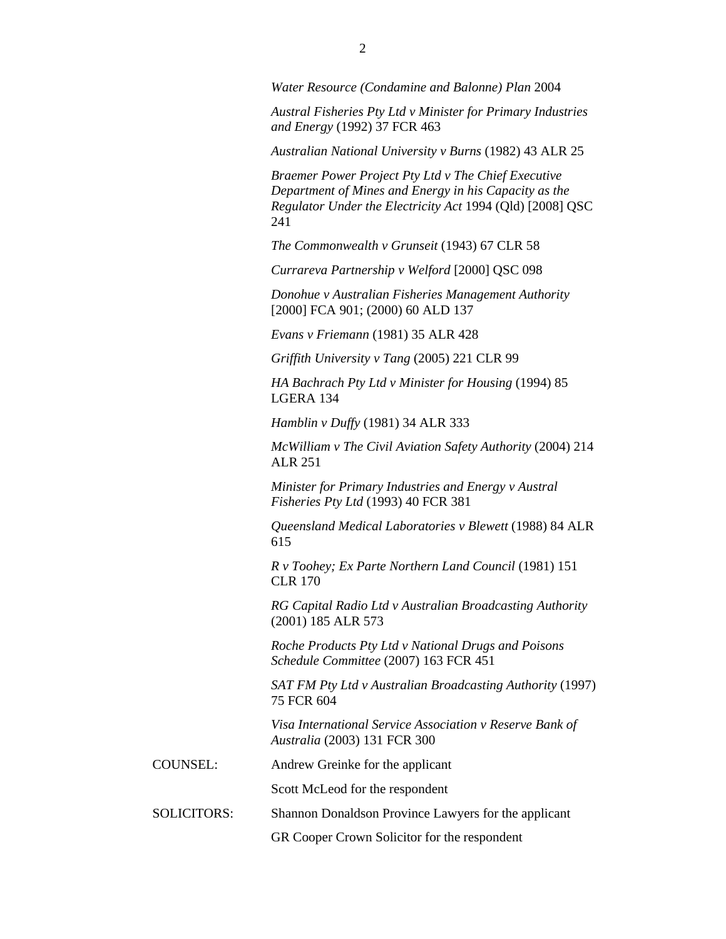*Water Resource (Condamine and Balonne) Plan* 2004

*Austral Fisheries Pty Ltd v Minister for Primary Industries and Energy* (1992) 37 FCR 463

*Australian National University v Burns* (1982) 43 ALR 25

*Braemer Power Project Pty Ltd v The Chief Executive Department of Mines and Energy in his Capacity as the Regulator Under the Electricity Act* 1994 (Qld) [2008] QSC 241

*The Commonwealth v Grunseit* (1943) 67 CLR 58

*Currareva Partnership v Welford* [2000] QSC 098

*Donohue v Australian Fisheries Management Authority* [2000] FCA 901; (2000) 60 ALD 137

*Evans v Friemann* (1981) 35 ALR 428

*Griffith University v Tang* (2005) 221 CLR 99

*HA Bachrach Pty Ltd v Minister for Housing* (1994) 85 LGERA 134

*Hamblin v Duffy* (1981) 34 ALR 333

*McWilliam v The Civil Aviation Safety Authority* (2004) 214 ALR 251

*Minister for Primary Industries and Energy v Austral Fisheries Pty Ltd* (1993) 40 FCR 381

*Queensland Medical Laboratories v Blewett* (1988) 84 ALR 615

*R v Toohey; Ex Parte Northern Land Council* (1981) 151 CLR 170

*RG Capital Radio Ltd v Australian Broadcasting Authority* (2001) 185 ALR 573

*Roche Products Pty Ltd v National Drugs and Poisons Schedule Committee* (2007) 163 FCR 451

*SAT FM Pty Ltd v Australian Broadcasting Authority* (1997) 75 FCR 604

*Visa International Service Association v Reserve Bank of Australia* (2003) 131 FCR 300

COUNSEL: Andrew Greinke for the applicant

Scott McLeod for the respondent

SOLICITORS: Shannon Donaldson Province Lawyers for the applicant

GR Cooper Crown Solicitor for the respondent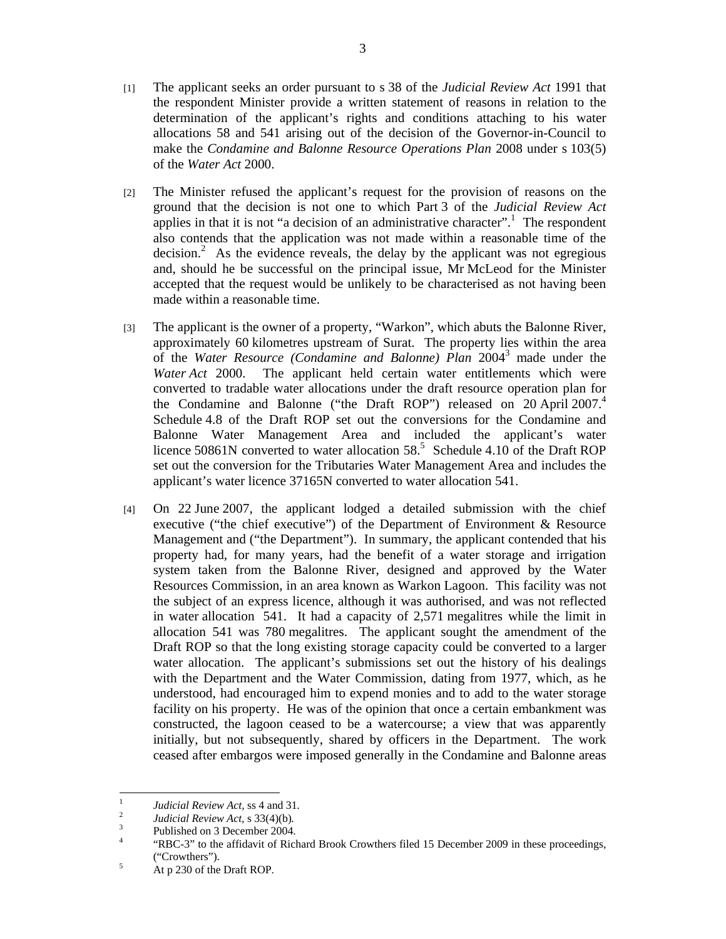- [1] The applicant seeks an order pursuant to s 38 of the *Judicial Review Act* 1991 that the respondent Minister provide a written statement of reasons in relation to the determination of the applicant's rights and conditions attaching to his water allocations 58 and 541 arising out of the decision of the Governor-in-Council to make the *Condamine and Balonne Resource Operations Plan* 2008 under s 103(5) of the *Water Act* 2000.
- [2] The Minister refused the applicant's request for the provision of reasons on the ground that the decision is not one to which Part 3 of the *Judicial Review Act* applies in that it is not "a decision of an administrative character".<sup>1</sup> The respondent also contends that the application was not made within a reasonable time of the decision.<sup>2</sup> As the evidence reveals, the delay by the applicant was not egregious and, should he be successful on the principal issue, Mr McLeod for the Minister accepted that the request would be unlikely to be characterised as not having been made within a reasonable time.
- [3] The applicant is the owner of a property, "Warkon", which abuts the Balonne River, approximately 60 kilometres upstream of Surat. The property lies within the area of the *Water Resource (Condamine and Balonne) Plan* 20043 made under the *Water Act* 2000. The applicant held certain water entitlements which were converted to tradable water allocations under the draft resource operation plan for the Condamine and Balonne ("the Draft ROP") released on 20 April 2007.<sup>4</sup> Schedule 4.8 of the Draft ROP set out the conversions for the Condamine and Balonne Water Management Area and included the applicant's water licence 50861N converted to water allocation  $58<sup>5</sup>$  Schedule 4.10 of the Draft ROP set out the conversion for the Tributaries Water Management Area and includes the applicant's water licence 37165N converted to water allocation 541.
- [4] On 22 June 2007, the applicant lodged a detailed submission with the chief executive ("the chief executive") of the Department of Environment & Resource Management and ("the Department"). In summary, the applicant contended that his property had, for many years, had the benefit of a water storage and irrigation system taken from the Balonne River, designed and approved by the Water Resources Commission, in an area known as Warkon Lagoon. This facility was not the subject of an express licence, although it was authorised, and was not reflected in water allocation 541. It had a capacity of 2,571 megalitres while the limit in allocation 541 was 780 megalitres. The applicant sought the amendment of the Draft ROP so that the long existing storage capacity could be converted to a larger water allocation. The applicant's submissions set out the history of his dealings with the Department and the Water Commission, dating from 1977, which, as he understood, had encouraged him to expend monies and to add to the water storage facility on his property. He was of the opinion that once a certain embankment was constructed, the lagoon ceased to be a watercourse; a view that was apparently initially, but not subsequently, shared by officers in the Department. The work ceased after embargos were imposed generally in the Condamine and Balonne areas

 $\frac{1}{1}$ <sup>1</sup> *Judicial Review Act, ss 4 and 31.*<br><sup>2</sup> *Judicial Baylow Act, s 33(4)(b)* 

*Judicial Review Act,* s 33(4)(b)*.* <sup>3</sup>

Published on 3 December 2004.

<sup>4</sup> "RBC-3" to the affidavit of Richard Brook Crowthers filed 15 December 2009 in these proceedings,  $("Crowthers")$ .

At p 230 of the Draft ROP.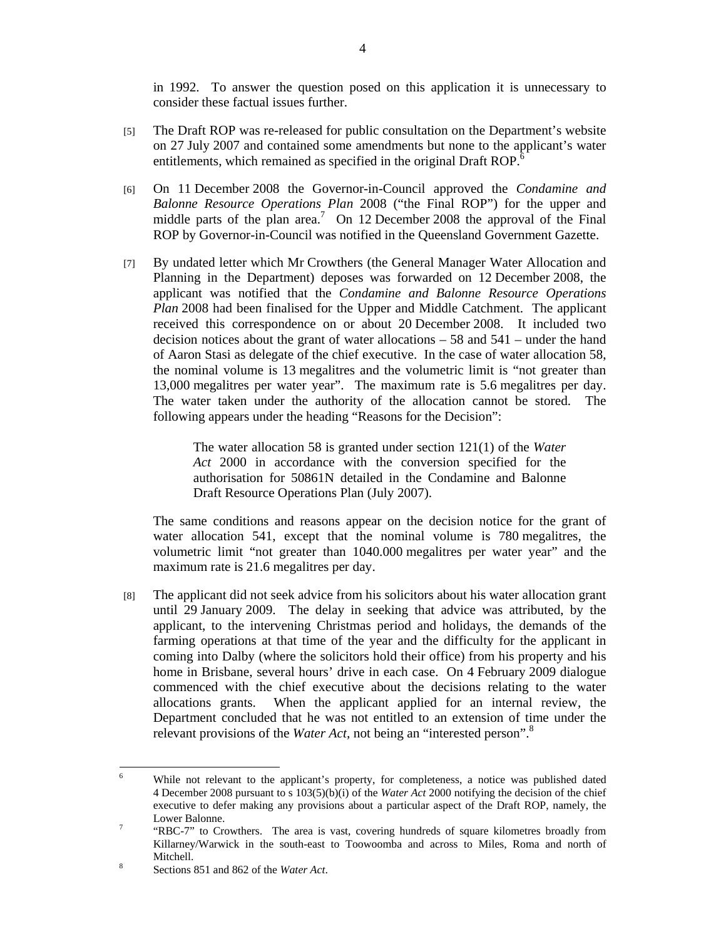in 1992. To answer the question posed on this application it is unnecessary to consider these factual issues further.

- [5] The Draft ROP was re-released for public consultation on the Department's website on 27 July 2007 and contained some amendments but none to the applicant's water entitlements, which remained as specified in the original Draft ROP.<sup>6</sup>
- [6] On 11 December 2008 the Governor-in-Council approved the *Condamine and Balonne Resource Operations Plan* 2008 ("the Final ROP") for the upper and middle parts of the plan area.<sup>7</sup> On 12 December 2008 the approval of the Final ROP by Governor-in-Council was notified in the Queensland Government Gazette.
- [7] By undated letter which Mr Crowthers (the General Manager Water Allocation and Planning in the Department) deposes was forwarded on 12 December 2008, the applicant was notified that the *Condamine and Balonne Resource Operations Plan* 2008 had been finalised for the Upper and Middle Catchment. The applicant received this correspondence on or about 20 December 2008. It included two decision notices about the grant of water allocations – 58 and 541 – under the hand of Aaron Stasi as delegate of the chief executive. In the case of water allocation 58, the nominal volume is 13 megalitres and the volumetric limit is "not greater than 13,000 megalitres per water year". The maximum rate is 5.6 megalitres per day. The water taken under the authority of the allocation cannot be stored. The following appears under the heading "Reasons for the Decision":

The water allocation 58 is granted under section 121(1) of the *Water Act* 2000 in accordance with the conversion specified for the authorisation for 50861N detailed in the Condamine and Balonne Draft Resource Operations Plan (July 2007).

The same conditions and reasons appear on the decision notice for the grant of water allocation 541, except that the nominal volume is 780 megalitres, the volumetric limit "not greater than 1040.000 megalitres per water year" and the maximum rate is 21.6 megalitres per day.

[8] The applicant did not seek advice from his solicitors about his water allocation grant until 29 January 2009. The delay in seeking that advice was attributed, by the applicant, to the intervening Christmas period and holidays, the demands of the farming operations at that time of the year and the difficulty for the applicant in coming into Dalby (where the solicitors hold their office) from his property and his home in Brisbane, several hours' drive in each case. On 4 February 2009 dialogue commenced with the chief executive about the decisions relating to the water allocations grants. When the applicant applied for an internal review, the Department concluded that he was not entitled to an extension of time under the relevant provisions of the *Water Act*, not being an "interested person".<sup>8</sup>

 6 While not relevant to the applicant's property, for completeness, a notice was published dated 4 December 2008 pursuant to s 103(5)(b)(i) of the *Water Act* 2000 notifying the decision of the chief executive to defer making any provisions about a particular aspect of the Draft ROP, namely, the Lower Balonne.

 <sup>&</sup>quot;RBC-7" to Crowthers. The area is vast, covering hundreds of square kilometres broadly from Killarney/Warwick in the south-east to Toowoomba and across to Miles, Roma and north of 8 Mitchell.

Sections 851 and 862 of the *Water Act*.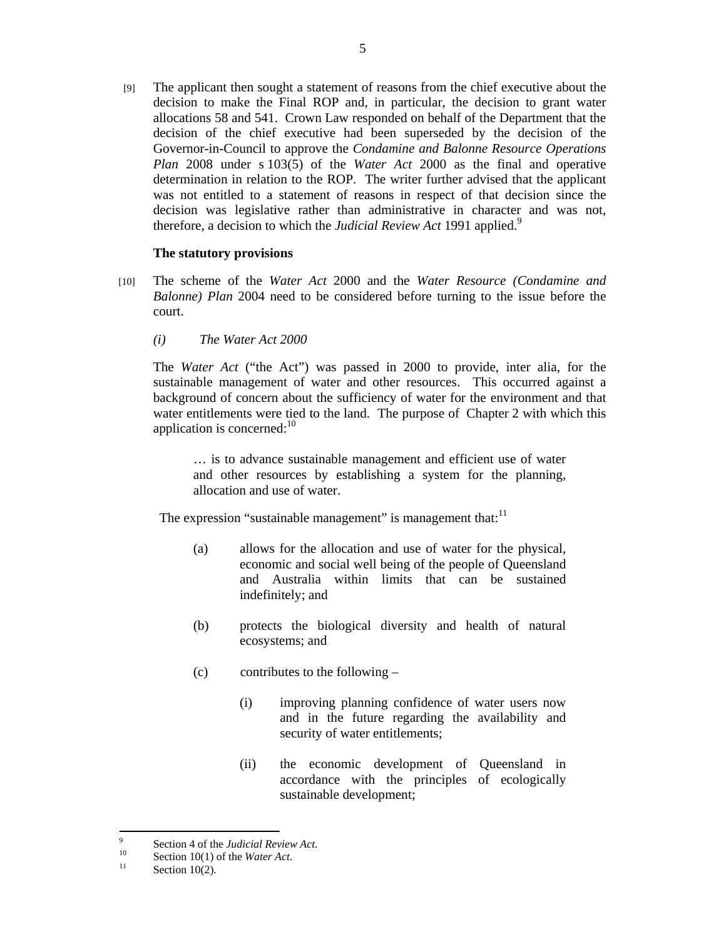[9] The applicant then sought a statement of reasons from the chief executive about the decision to make the Final ROP and, in particular, the decision to grant water allocations 58 and 541. Crown Law responded on behalf of the Department that the decision of the chief executive had been superseded by the decision of the Governor-in-Council to approve the *Condamine and Balonne Resource Operations Plan* 2008 under s 103(5) of the *Water Act* 2000 as the final and operative determination in relation to the ROP. The writer further advised that the applicant was not entitled to a statement of reasons in respect of that decision since the decision was legislative rather than administrative in character and was not, therefore, a decision to which the *Judicial Review Act* 1991 applied.<sup>9</sup>

## **The statutory provisions**

- [10] The scheme of the *Water Act* 2000 and the *Water Resource (Condamine and Balonne) Plan* 2004 need to be considered before turning to the issue before the court.
	- *(i) The Water Act 2000*

The *Water Act* ("the Act") was passed in 2000 to provide, inter alia, for the sustainable management of water and other resources. This occurred against a background of concern about the sufficiency of water for the environment and that water entitlements were tied to the land. The purpose of Chapter 2 with which this application is concerned: $10<sup>10</sup>$ 

… is to advance sustainable management and efficient use of water and other resources by establishing a system for the planning, allocation and use of water.

The expression "sustainable management" is management that: $11$ 

- (a) allows for the allocation and use of water for the physical, economic and social well being of the people of Queensland and Australia within limits that can be sustained indefinitely; and
- (b) protects the biological diversity and health of natural ecosystems; and
- (c) contributes to the following
	- (i) improving planning confidence of water users now and in the future regarding the availability and security of water entitlements;
	- (ii) the economic development of Queensland in accordance with the principles of ecologically sustainable development;

 $\overline{a}$ 

<sup>9</sup>

<sup>&</sup>lt;sup>9</sup><br>Section 4 of the *Judicial Review Act*.<br>I<sup>10</sup><br>Section 10(2).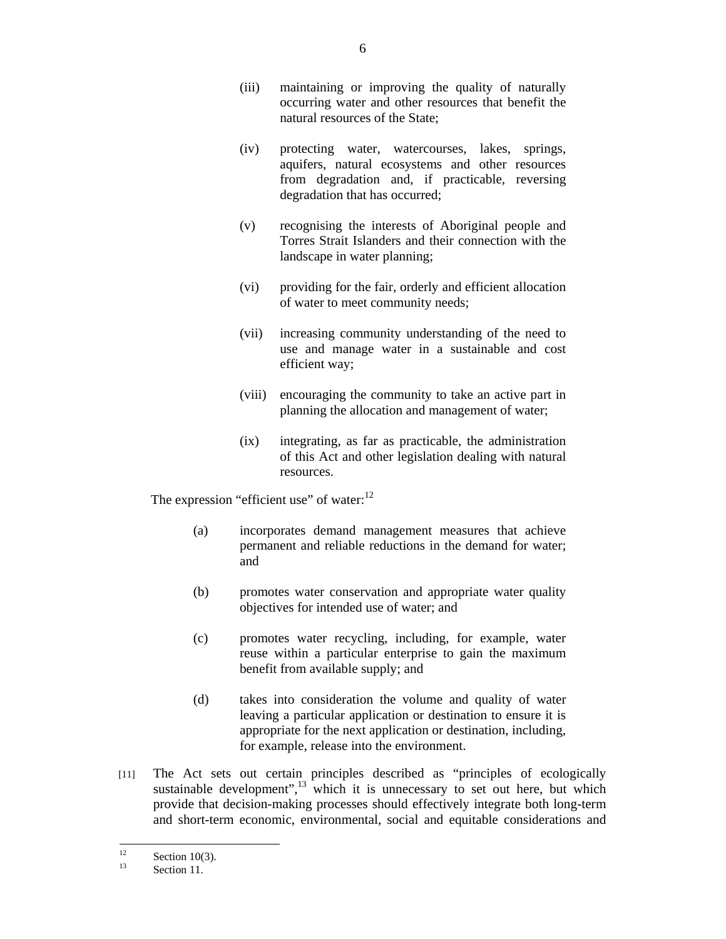- (iii) maintaining or improving the quality of naturally occurring water and other resources that benefit the natural resources of the State;
- (iv) protecting water, watercourses, lakes, springs, aquifers, natural ecosystems and other resources from degradation and, if practicable, reversing degradation that has occurred;
- (v) recognising the interests of Aboriginal people and Torres Strait Islanders and their connection with the landscape in water planning;
- (vi) providing for the fair, orderly and efficient allocation of water to meet community needs;
- (vii) increasing community understanding of the need to use and manage water in a sustainable and cost efficient way;
- (viii) encouraging the community to take an active part in planning the allocation and management of water;
- (ix) integrating, as far as practicable, the administration of this Act and other legislation dealing with natural resources.

The expression "efficient use" of water: $^{12}$ 

- (a) incorporates demand management measures that achieve permanent and reliable reductions in the demand for water; and
- (b) promotes water conservation and appropriate water quality objectives for intended use of water; and
- (c) promotes water recycling, including, for example, water reuse within a particular enterprise to gain the maximum benefit from available supply; and
- (d) takes into consideration the volume and quality of water leaving a particular application or destination to ensure it is appropriate for the next application or destination, including, for example, release into the environment.
- [11] The Act sets out certain principles described as "principles of ecologically sustainable development", $\frac{13}{13}$  which it is unnecessary to set out here, but which provide that decision-making processes should effectively integrate both long-term and short-term economic, environmental, social and equitable considerations and

 $12$  $\frac{12}{13}$  Section 10(3).

Section 11.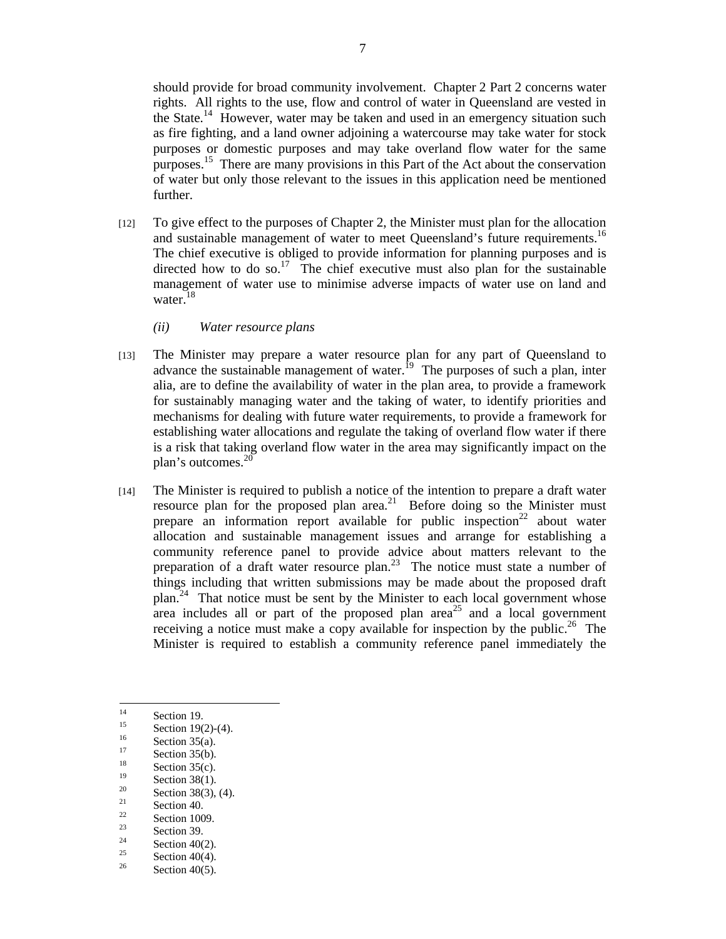should provide for broad community involvement. Chapter 2 Part 2 concerns water rights. All rights to the use, flow and control of water in Queensland are vested in the State. $14$  However, water may be taken and used in an emergency situation such as fire fighting, and a land owner adjoining a watercourse may take water for stock purposes or domestic purposes and may take overland flow water for the same purposes.15 There are many provisions in this Part of the Act about the conservation of water but only those relevant to the issues in this application need be mentioned further.

- [12] To give effect to the purposes of Chapter 2, the Minister must plan for the allocation and sustainable management of water to meet Queensland's future requirements.<sup>16</sup> The chief executive is obliged to provide information for planning purposes and is directed how to do so.<sup>17</sup> The chief executive must also plan for the sustainable management of water use to minimise adverse impacts of water use on land and water.<sup>18</sup>
	- *(ii) Water resource plans*
- [13] The Minister may prepare a water resource plan for any part of Queensland to advance the sustainable management of water.<sup>19</sup> The purposes of such a plan, inter alia, are to define the availability of water in the plan area, to provide a framework for sustainably managing water and the taking of water, to identify priorities and mechanisms for dealing with future water requirements, to provide a framework for establishing water allocations and regulate the taking of overland flow water if there is a risk that taking overland flow water in the area may significantly impact on the plan's outcomes.<sup>20</sup>
- [14] The Minister is required to publish a notice of the intention to prepare a draft water resource plan for the proposed plan area.<sup>21</sup> Before doing so the Minister must prepare an information report available for public inspection<sup>22</sup> about water allocation and sustainable management issues and arrange for establishing a community reference panel to provide advice about matters relevant to the preparation of a draft water resource plan.23 The notice must state a number of things including that written submissions may be made about the proposed draft plan.<sup>24</sup> That notice must be sent by the Minister to each local government whose area includes all or part of the proposed plan area<sup>25</sup> and a local government receiving a notice must make a copy available for inspection by the public.<sup>26</sup> The Minister is required to establish a community reference panel immediately the

- <sup>20</sup> Section 38(3), (4).
- $\frac{21}{22}$  Section 40.
- $\frac{22}{23}$  Section 1009.
- $\frac{23}{24}$  Section 39.

- <sup>25</sup> Section 40(4).
- Section  $40(5)$ .

 $14$  $\frac{14}{15}$  Section 19.

 $\frac{15}{16}$  Section 19(2)-(4).

 $\frac{16}{17}$  Section 35(a).

 $\frac{17}{18}$  Section 35(b).

<sup>&</sup>lt;sup>18</sup> Section 35(c).

 $\frac{19}{20}$  Section 38(1).

<sup>&</sup>lt;sup>24</sup> Section 40(2).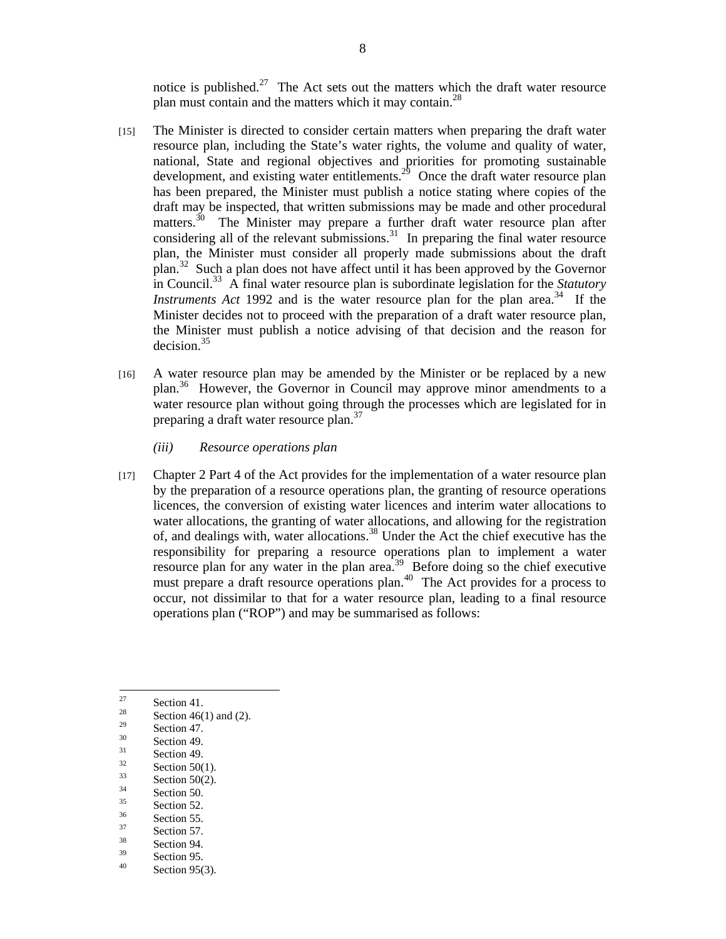notice is published. $27$  The Act sets out the matters which the draft water resource plan must contain and the matters which it may contain.<sup>28</sup>

- [15] The Minister is directed to consider certain matters when preparing the draft water resource plan, including the State's water rights, the volume and quality of water, national, State and regional objectives and priorities for promoting sustainable development, and existing water entitlements.<sup>29</sup> Once the draft water resource plan has been prepared, the Minister must publish a notice stating where copies of the draft may be inspected, that written submissions may be made and other procedural matters.<sup>30</sup> The Minister may prepare a further draft water resource plan after considering all of the relevant submissions. $31$  In preparing the final water resource plan, the Minister must consider all properly made submissions about the draft plan.32 Such a plan does not have affect until it has been approved by the Governor in Council.33 A final water resource plan is subordinate legislation for the *Statutory Instruments Act* 1992 and is the water resource plan for the plan area.<sup>34</sup> If the Minister decides not to proceed with the preparation of a draft water resource plan, the Minister must publish a notice advising of that decision and the reason for decision.<sup>35</sup>
- [16] A water resource plan may be amended by the Minister or be replaced by a new plan.36 However, the Governor in Council may approve minor amendments to a water resource plan without going through the processes which are legislated for in preparing a draft water resource plan.<sup>37</sup>
	- *(iii) Resource operations plan*
- [17] Chapter 2 Part 4 of the Act provides for the implementation of a water resource plan by the preparation of a resource operations plan, the granting of resource operations licences, the conversion of existing water licences and interim water allocations to water allocations, the granting of water allocations, and allowing for the registration of, and dealings with, water allocations.38 Under the Act the chief executive has the responsibility for preparing a resource operations plan to implement a water resource plan for any water in the plan area.<sup>39</sup> Before doing so the chief executive must prepare a draft resource operations plan.<sup>40</sup> The Act provides for a process to occur, not dissimilar to that for a water resource plan, leading to a final resource operations plan ("ROP") and may be summarised as follows:

 $\frac{34}{35}$  Section 50.

 $\frac{37}{38}$  Section 57.

<sup>27</sup>  $\frac{27}{28}$  Section 41.

<sup>&</sup>lt;sup>28</sup> Section 46(1) and (2).

 $\frac{29}{30}$  Section 47.

 $rac{30}{31}$  Section 49.

 $\frac{31}{32}$  Section 49.

 $\frac{32}{33}$  Section 50(1).

 $\frac{33}{34}$  Section 50(2).

 $\frac{35}{36}$  Section 52.

 $\frac{36}{37}$  Section 55.

 $\frac{38}{39}$  Section 94.

 $\frac{39}{40}$  Section 95. Section  $95(3)$ .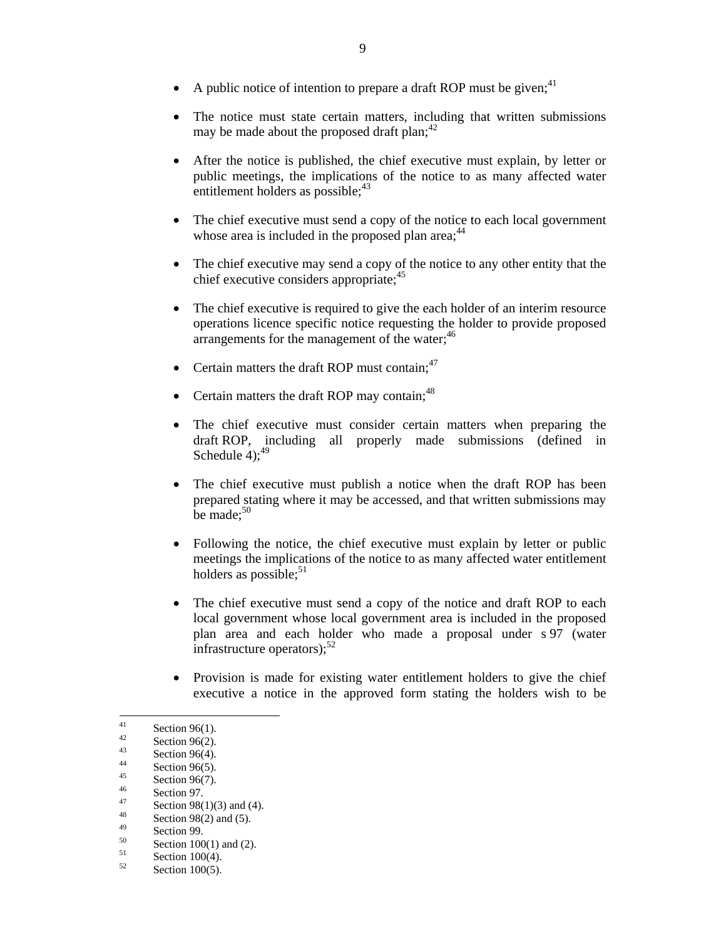- A public notice of intention to prepare a draft ROP must be given;  $4<sup>1</sup>$
- The notice must state certain matters, including that written submissions may be made about the proposed draft plan: $42$
- After the notice is published, the chief executive must explain, by letter or public meetings, the implications of the notice to as many affected water entitlement holders as possible; $43$
- The chief executive must send a copy of the notice to each local government whose area is included in the proposed plan area;  $44$
- The chief executive may send a copy of the notice to any other entity that the chief executive considers appropriate;<sup>45</sup>
- The chief executive is required to give the each holder of an interim resource operations licence specific notice requesting the holder to provide proposed arrangements for the management of the water;<sup>46</sup>
- Certain matters the draft ROP must contain;<sup>47</sup>
- Certain matters the draft ROP may contain;  $48$
- The chief executive must consider certain matters when preparing the draft ROP, including all properly made submissions (defined in Schedule  $4$ );<sup>49</sup>
- The chief executive must publish a notice when the draft ROP has been prepared stating where it may be accessed, and that written submissions may be made;<sup>50</sup>
- Following the notice, the chief executive must explain by letter or public meetings the implications of the notice to as many affected water entitlement holders as possible; $51$
- The chief executive must send a copy of the notice and draft ROP to each local government whose local government area is included in the proposed plan area and each holder who made a proposal under s 97 (water infrastructure operators); $52$
- Provision is made for existing water entitlement holders to give the chief executive a notice in the approved form stating the holders wish to be

 $41$  $\frac{41}{42}$  Section 96(1).

 $\frac{42}{43}$  Section 96(2).

 $\frac{43}{44}$  Section 96(4).

 $\frac{44}{45}$  Section 96(5).

 $\frac{45}{46}$  Section 96(7).

 $\frac{46}{47}$  Section 97.

 $\frac{47}{48}$  Section 98(1)(3) and (4).

 $\frac{48}{49}$  Section 98(2) and (5).

 $\frac{49}{50}$  Section 99.

 $50$  Section 100(1) and (2).

 $52$  Section 100(4).

Section  $100(5)$ .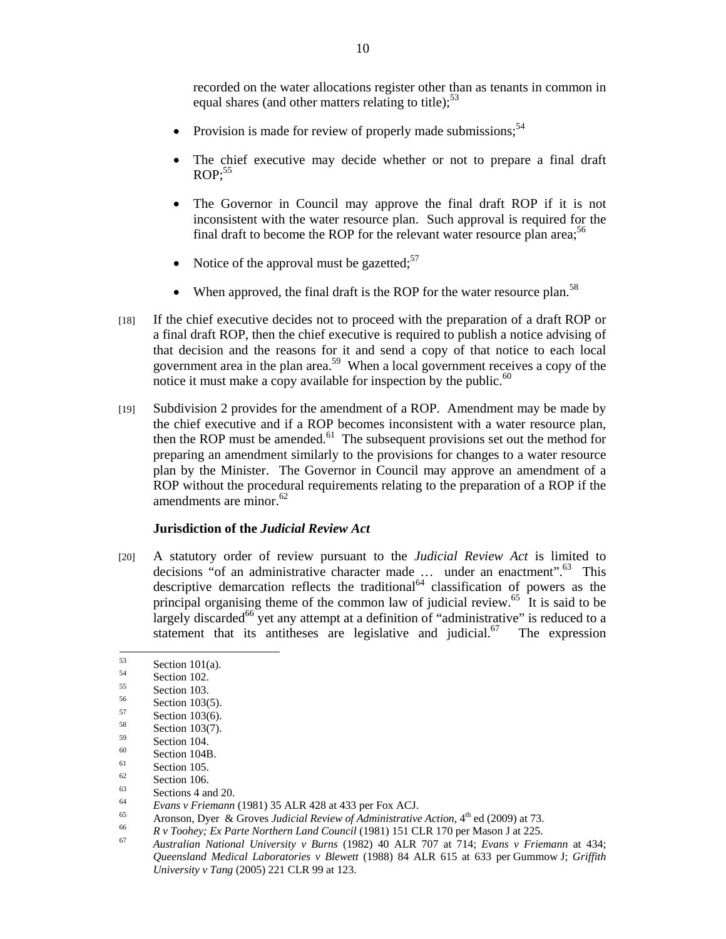recorded on the water allocations register other than as tenants in common in equal shares (and other matters relating to title); $<sup>53</sup>$ </sup>

- Provision is made for review of properly made submissions: $54$
- The chief executive may decide whether or not to prepare a final draft  $ROP:55$
- The Governor in Council may approve the final draft ROP if it is not inconsistent with the water resource plan. Such approval is required for the final draft to become the ROP for the relevant water resource plan area;<sup>56</sup>
- Notice of the approval must be gazetted: $57$
- When approved, the final draft is the ROP for the water resource plan.<sup>58</sup>
- [18] If the chief executive decides not to proceed with the preparation of a draft ROP or a final draft ROP, then the chief executive is required to publish a notice advising of that decision and the reasons for it and send a copy of that notice to each local government area in the plan area.<sup>59</sup> When a local government receives a copy of the notice it must make a copy available for inspection by the public.<sup>60</sup>
- [19] Subdivision 2 provides for the amendment of a ROP. Amendment may be made by the chief executive and if a ROP becomes inconsistent with a water resource plan, then the ROP must be amended. $61$  The subsequent provisions set out the method for preparing an amendment similarly to the provisions for changes to a water resource plan by the Minister. The Governor in Council may approve an amendment of a ROP without the procedural requirements relating to the preparation of a ROP if the amendments are minor.<sup>62</sup>

#### **Jurisdiction of the** *Judicial Review Act*

[20] A statutory order of review pursuant to the *Judicial Review Act* is limited to decisions "of an administrative character made ... under an enactment".<sup>63</sup> This descriptive demarcation reflects the traditional<sup>64</sup> classification of powers as the principal organising theme of the common law of judicial review.65 It is said to be largely discarded<sup>66</sup> yet any attempt at a definition of "administrative" is reduced to a statement that its antitheses are legislative and judicial.<sup>67</sup> The expression

<sup>53</sup>  $53 \t\text{Section } 101(a).$ 

 $\frac{54}{55}$  Section 102.

 $\frac{55}{56}$  Section 103.

 $\frac{56}{57}$  Section 103(5).

 $5^{57}$  Section 103(6).

 $58 \t\le 59$  Section 103(7).

 $^{59}$  Section 104.

 $^{60}$  Section 104B.

 $\frac{61}{62}$  Section 105.

 $\frac{62}{63}$  Section 106.

 $\frac{63}{64}$  Sections 4 and 20.

Evans v Friemann (1981) 35 ALR 428 at 433 per Fox ACJ.<br>
Aronson, Dyer & Groves Judicial Review of Administrative Action, 4<sup>th</sup> ed (2009) at 73.<br> *Av Toohey; Ex Parte Northern Land Council* (1981) 151 CLR 170 per Mason J a *Queensland Medical Laboratories v Blewett* (1988) 84 ALR 615 at 633 per Gummow J; *Griffith University v Tang* (2005) 221 CLR 99 at 123.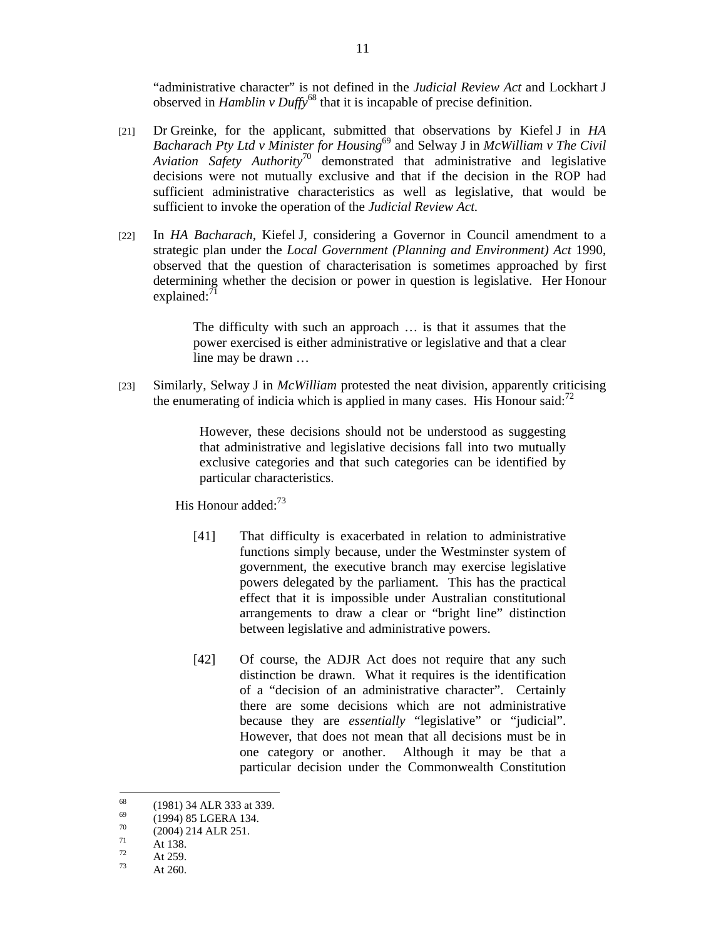"administrative character" is not defined in the *Judicial Review Act* and Lockhart J observed in *Hamblin v Duffy*68 that it is incapable of precise definition.

- [21] Dr Greinke, for the applicant, submitted that observations by Kiefel J in *HA Bacharach Pty Ltd v Minister for Housing*69 and Selway J in *McWilliam v The Civil Aviation Safety Authority*70 demonstrated that administrative and legislative decisions were not mutually exclusive and that if the decision in the ROP had sufficient administrative characteristics as well as legislative, that would be sufficient to invoke the operation of the *Judicial Review Act.*
- [22] In *HA Bacharach,* Kiefel J, considering a Governor in Council amendment to a strategic plan under the *Local Government (Planning and Environment) Act* 1990, observed that the question of characterisation is sometimes approached by first determining whether the decision or power in question is legislative. Her Honour explained:<sup>71</sup>

The difficulty with such an approach … is that it assumes that the power exercised is either administrative or legislative and that a clear line may be drawn …

[23] Similarly, Selway J in *McWilliam* protested the neat division, apparently criticising the enumerating of indicia which is applied in many cases. His Honour said: $<sup>72</sup>$ </sup>

> However, these decisions should not be understood as suggesting that administrative and legislative decisions fall into two mutually exclusive categories and that such categories can be identified by particular characteristics.

His Honour added:<sup>73</sup>

- [41] That difficulty is exacerbated in relation to administrative functions simply because, under the Westminster system of government, the executive branch may exercise legislative powers delegated by the parliament. This has the practical effect that it is impossible under Australian constitutional arrangements to draw a clear or "bright line" distinction between legislative and administrative powers.
- [42] Of course, the ADJR Act does not require that any such distinction be drawn. What it requires is the identification of a "decision of an administrative character". Certainly there are some decisions which are not administrative because they are *essentially* "legislative" or "judicial". However, that does not mean that all decisions must be in one category or another. Although it may be that a particular decision under the Commonwealth Constitution

<sup>68</sup>  $^{68}$  (1981) 34 ALR 333 at 339.

 $^{69}$  (1994) 85 LGERA 134.

 $^{70}$  (2004) 214 ALR 251.

 $\frac{71}{72}$  At 138.

 $\frac{12}{73}$  At 259.

At 260.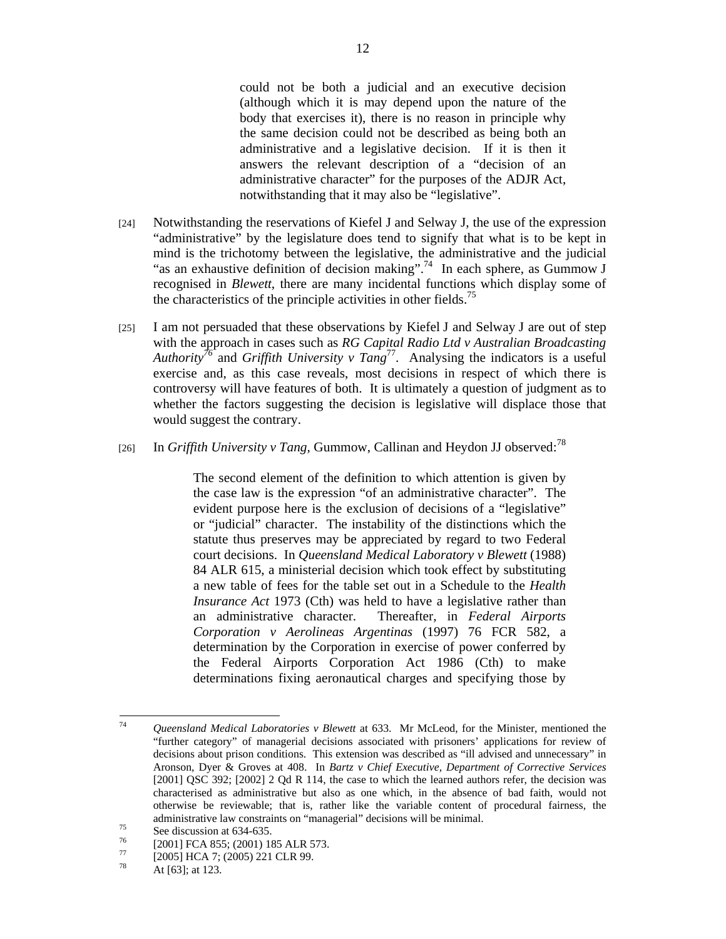could not be both a judicial and an executive decision (although which it is may depend upon the nature of the body that exercises it), there is no reason in principle why the same decision could not be described as being both an administrative and a legislative decision. If it is then it answers the relevant description of a "decision of an administrative character" for the purposes of the ADJR Act, notwithstanding that it may also be "legislative".

- [24] Notwithstanding the reservations of Kiefel J and Selway J, the use of the expression "administrative" by the legislature does tend to signify that what is to be kept in mind is the trichotomy between the legislative, the administrative and the judicial "as an exhaustive definition of decision making".<sup>74</sup> In each sphere, as Gummow J recognised in *Blewett*, there are many incidental functions which display some of the characteristics of the principle activities in other fields.<sup>75</sup>
- [25] I am not persuaded that these observations by Kiefel J and Selway J are out of step with the approach in cases such as *RG Capital Radio Ltd v Australian Broadcasting Authority*<sup>76</sup> and *Griffith University v Tang*<sup>77</sup>. Analysing the indicators is a useful exercise and, as this case reveals, most decisions in respect of which there is controversy will have features of both. It is ultimately a question of judgment as to whether the factors suggesting the decision is legislative will displace those that would suggest the contrary.
- [26] In *Griffith University v Tang*, Gummow, Callinan and Heydon JJ observed:<sup>78</sup>

The second element of the definition to which attention is given by the case law is the expression "of an administrative character". The evident purpose here is the exclusion of decisions of a "legislative" or "judicial" character. The instability of the distinctions which the statute thus preserves may be appreciated by regard to two Federal court decisions. In *Queensland Medical Laboratory v Blewett* (1988) 84 ALR 615, a ministerial decision which took effect by substituting a new table of fees for the table set out in a Schedule to the *Health Insurance Act* 1973 (Cth) was held to have a legislative rather than an administrative character. Thereafter, in *Federal Airports Corporation v Aerolineas Argentinas* (1997) 76 FCR 582, a determination by the Corporation in exercise of power conferred by the Federal Airports Corporation Act 1986 (Cth) to make determinations fixing aeronautical charges and specifying those by

 $74$ 74 *Queensland Medical Laboratories v Blewett* at 633. Mr McLeod, for the Minister, mentioned the "further category" of managerial decisions associated with prisoners' applications for review of decisions about prison conditions. This extension was described as "ill advised and unnecessary" in Aronson, Dyer & Groves at 408. In *Bartz v Chief Executive, Department of Corrective Services* [2001] QSC 392; [2002] 2 Qd R 114, the case to which the learned authors refer, the decision was characterised as administrative but also as one which, in the absence of bad faith, would not otherwise be reviewable; that is, rather like the variable content of procedural fairness, the administrative law constraints on "managerial" decisions will be minimal.<br>See discussion at 634-635.<br> $\frac{76}{200}$ .

 $^{76}$  [2001] FCA 855; (2001) 185 ALR 573.

 $^{77}$  [2005] HCA 7; (2005) 221 CLR 99.

At [63]; at 123.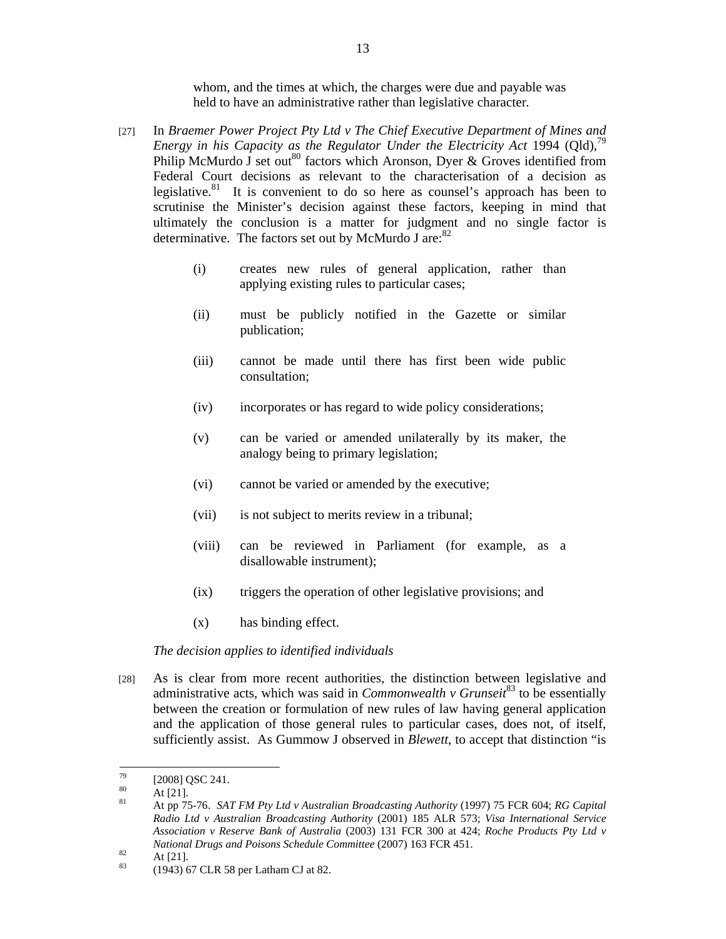whom, and the times at which, the charges were due and payable was held to have an administrative rather than legislative character*.*

- [27] In *Braemer Power Project Pty Ltd v The Chief Executive Department of Mines and Energy in his Capacity as the Regulator Under the Electricity Act* 1994 (Qld),<sup>79</sup> Philip McMurdo J set out<sup>80</sup> factors which Aronson, Dyer & Groves identified from Federal Court decisions as relevant to the characterisation of a decision as legislative. $81$  It is convenient to do so here as counsel's approach has been to scrutinise the Minister's decision against these factors, keeping in mind that ultimately the conclusion is a matter for judgment and no single factor is determinative. The factors set out by McMurdo J are: $82$ 
	- (i) creates new rules of general application, rather than applying existing rules to particular cases;
	- (ii) must be publicly notified in the Gazette or similar publication;
	- (iii) cannot be made until there has first been wide public consultation;
	- (iv) incorporates or has regard to wide policy considerations;
	- (v) can be varied or amended unilaterally by its maker, the analogy being to primary legislation;
	- (vi) cannot be varied or amended by the executive;
	- (vii) is not subject to merits review in a tribunal;
	- (viii) can be reviewed in Parliament (for example, as a disallowable instrument);
	- (ix) triggers the operation of other legislative provisions; and
	- (x) has binding effect.

#### *The decision applies to identified individuals*

[28] As is clear from more recent authorities, the distinction between legislative and administrative acts, which was said in *Commonwealth v Grunseit*83 to be essentially between the creation or formulation of new rules of law having general application and the application of those general rules to particular cases, does not, of itself, sufficiently assist. As Gummow J observed in *Blewett*, to accept that distinction "is

 $\overline{a}$ 

 $^{79}$  [2008] QSC 241.

 $\frac{80}{81}$  At [21].

<sup>81</sup> At pp 75-76. *SAT FM Pty Ltd v Australian Broadcasting Authority* (1997) 75 FCR 604; *RG Capital Radio Ltd v Australian Broadcasting Authority* (2001) 185 ALR 573; *Visa International Service Association v Reserve Bank of Australia* (2003) 131 FCR 300 at 424; *Roche Products Pty Ltd v National Drugs and Poisons Schedule Committee (2007)* 163 FCR 451.<br> **At [21].** (1042) 67 CLB 58 par Lather CLat 82

<sup>83 (1943) 67</sup> CLR 58 per Latham CJ at 82.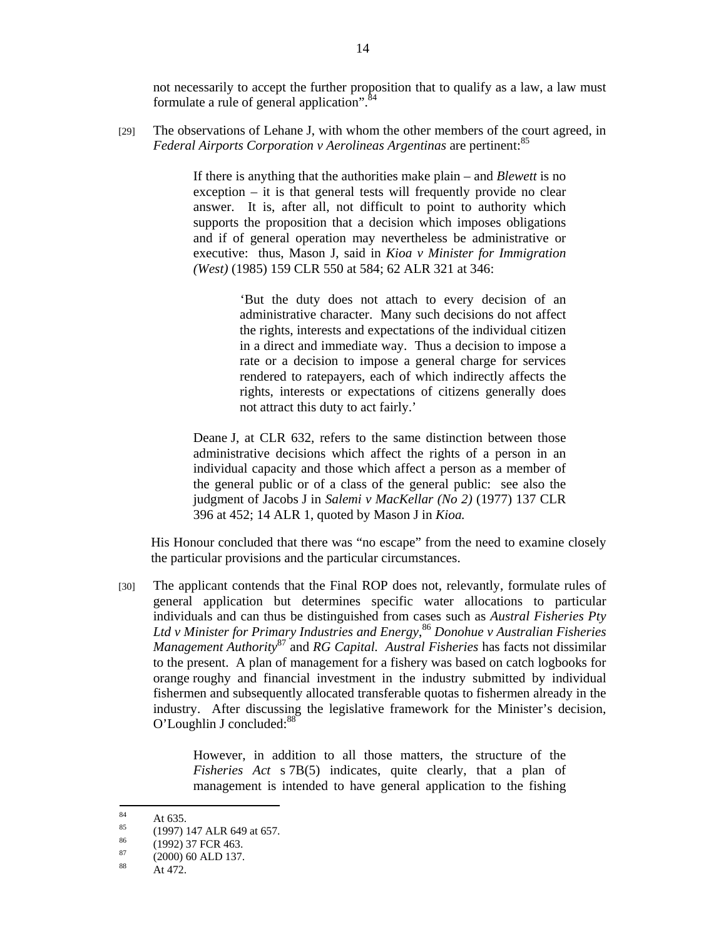not necessarily to accept the further proposition that to qualify as a law, a law must formulate a rule of general application".<sup>84</sup>

[29] The observations of Lehane J, with whom the other members of the court agreed, in *Federal Airports Corporation v Aerolineas Argentinas* are pertinent:<sup>85</sup>

> If there is anything that the authorities make plain – and *Blewett* is no exception – it is that general tests will frequently provide no clear answer. It is, after all, not difficult to point to authority which supports the proposition that a decision which imposes obligations and if of general operation may nevertheless be administrative or executive: thus, Mason J, said in *Kioa v Minister for Immigration (West)* (1985) 159 CLR 550 at 584; 62 ALR 321 at 346:

> > 'But the duty does not attach to every decision of an administrative character. Many such decisions do not affect the rights, interests and expectations of the individual citizen in a direct and immediate way. Thus a decision to impose a rate or a decision to impose a general charge for services rendered to ratepayers, each of which indirectly affects the rights, interests or expectations of citizens generally does not attract this duty to act fairly.'

Deane J, at CLR 632, refers to the same distinction between those administrative decisions which affect the rights of a person in an individual capacity and those which affect a person as a member of the general public or of a class of the general public: see also the judgment of Jacobs J in *Salemi v MacKellar (No 2)* (1977) 137 CLR 396 at 452; 14 ALR 1, quoted by Mason J in *Kioa.*

His Honour concluded that there was "no escape" from the need to examine closely the particular provisions and the particular circumstances.

[30] The applicant contends that the Final ROP does not, relevantly, formulate rules of general application but determines specific water allocations to particular individuals and can thus be distinguished from cases such as *Austral Fisheries Pty Ltd v Minister for Primary Industries and Energy*, <sup>86</sup> *Donohue v Australian Fisheries Management Authority*87 and *RG Capital. Austral Fisheries* has facts not dissimilar to the present. A plan of management for a fishery was based on catch logbooks for orange roughy and financial investment in the industry submitted by individual fishermen and subsequently allocated transferable quotas to fishermen already in the industry. After discussing the legislative framework for the Minister's decision, O'Loughlin J concluded:<sup>88</sup>

> However, in addition to all those matters, the structure of the *Fisheries Act* s 7B(5) indicates, quite clearly, that a plan of management is intended to have general application to the fishing

 $\overline{84}$  $\frac{84}{85}$  At 635.

 $^{85}$  (1997) 147 ALR 649 at 657.

 $\frac{86}{87}$  (1992) 37 FCR 463.

 $\frac{87}{88}$  (2000) 60 ALD 137.

At 472.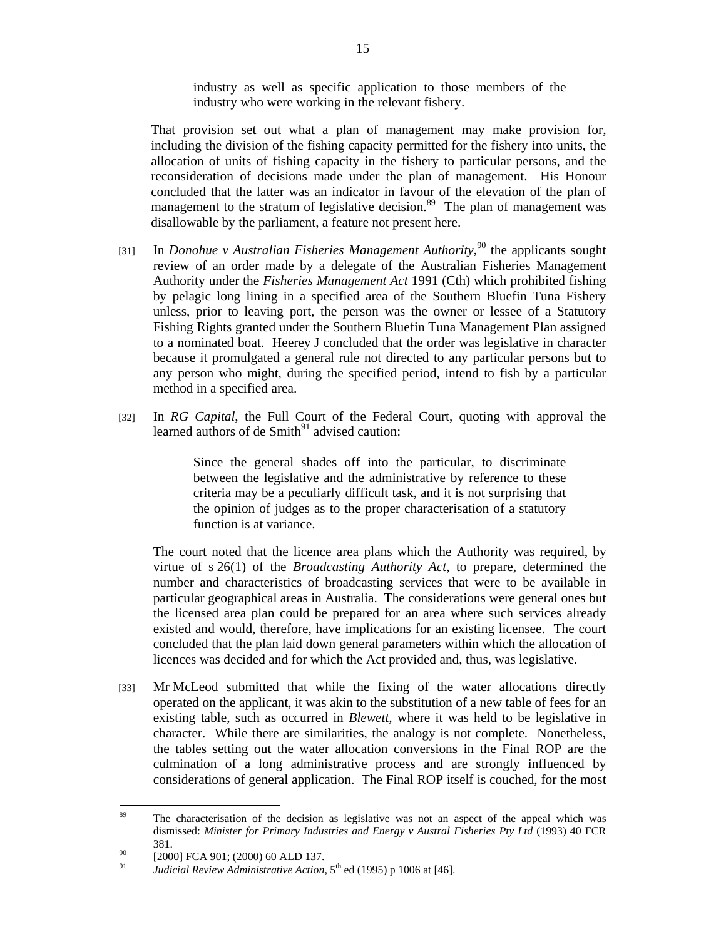industry as well as specific application to those members of the industry who were working in the relevant fishery.

That provision set out what a plan of management may make provision for, including the division of the fishing capacity permitted for the fishery into units, the allocation of units of fishing capacity in the fishery to particular persons, and the reconsideration of decisions made under the plan of management. His Honour concluded that the latter was an indicator in favour of the elevation of the plan of management to the stratum of legislative decision.<sup>89</sup> The plan of management was disallowable by the parliament, a feature not present here.

- [31] In *Donohue v Australian Fisheries Management Authority*,<sup>90</sup> the applicants sought review of an order made by a delegate of the Australian Fisheries Management Authority under the *Fisheries Management Act* 1991 (Cth) which prohibited fishing by pelagic long lining in a specified area of the Southern Bluefin Tuna Fishery unless, prior to leaving port, the person was the owner or lessee of a Statutory Fishing Rights granted under the Southern Bluefin Tuna Management Plan assigned to a nominated boat. Heerey J concluded that the order was legislative in character because it promulgated a general rule not directed to any particular persons but to any person who might, during the specified period, intend to fish by a particular method in a specified area.
- [32] In *RG Capital*, the Full Court of the Federal Court, quoting with approval the learned authors of de  $Smith<sup>91</sup>$  advised caution:

Since the general shades off into the particular, to discriminate between the legislative and the administrative by reference to these criteria may be a peculiarly difficult task, and it is not surprising that the opinion of judges as to the proper characterisation of a statutory function is at variance.

The court noted that the licence area plans which the Authority was required, by virtue of s 26(1) of the *Broadcasting Authority Act,* to prepare, determined the number and characteristics of broadcasting services that were to be available in particular geographical areas in Australia. The considerations were general ones but the licensed area plan could be prepared for an area where such services already existed and would, therefore, have implications for an existing licensee. The court concluded that the plan laid down general parameters within which the allocation of licences was decided and for which the Act provided and, thus, was legislative.

[33] Mr McLeod submitted that while the fixing of the water allocations directly operated on the applicant, it was akin to the substitution of a new table of fees for an existing table, such as occurred in *Blewett,* where it was held to be legislative in character. While there are similarities, the analogy is not complete. Nonetheless, the tables setting out the water allocation conversions in the Final ROP are the culmination of a long administrative process and are strongly influenced by considerations of general application. The Final ROP itself is couched, for the most

<sup>89</sup> The characterisation of the decision as legislative was not an aspect of the appeal which was dismissed: *Minister for Primary Industries and Energy v Austral Fisheries Pty Ltd* (1993) 40 FCR

<sup>381.&</sup>lt;br>  $^{90}$  [2000] FCA 901; (2000) 60 ALD 137.

*Judicial Review Administrative Action*, 5<sup>th</sup> ed (1995) p 1006 at [46].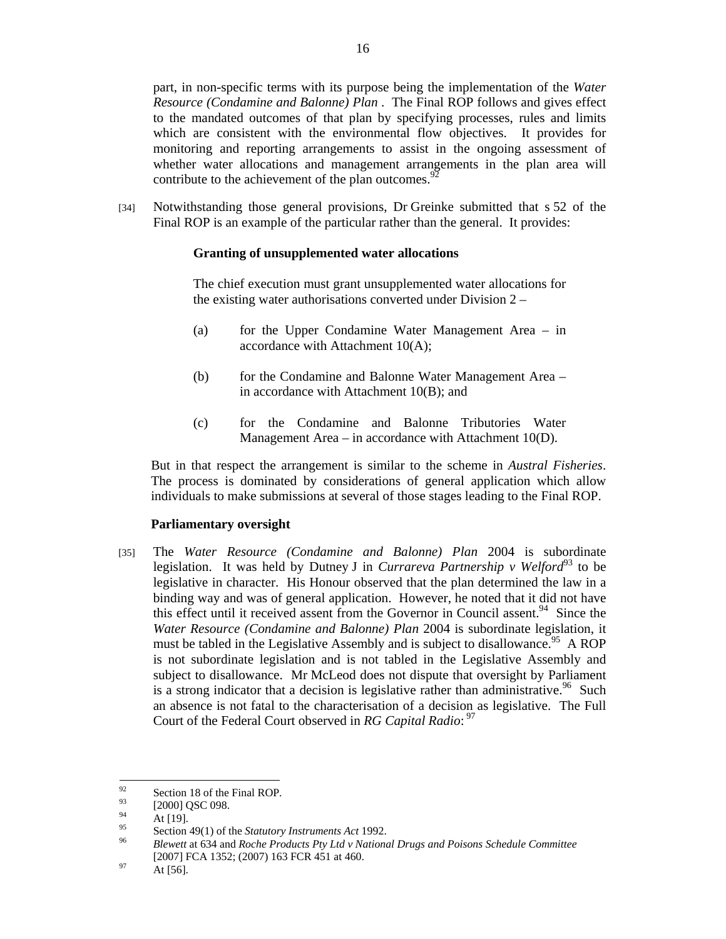part, in non-specific terms with its purpose being the implementation of the *Water Resource (Condamine and Balonne) Plan* . The Final ROP follows and gives effect to the mandated outcomes of that plan by specifying processes, rules and limits which are consistent with the environmental flow objectives. It provides for monitoring and reporting arrangements to assist in the ongoing assessment of whether water allocations and management arrangements in the plan area will contribute to the achievement of the plan outcomes.  $92$ 

[34] Notwithstanding those general provisions, Dr Greinke submitted that s 52 of the Final ROP is an example of the particular rather than the general. It provides:

# **Granting of unsupplemented water allocations**

The chief execution must grant unsupplemented water allocations for the existing water authorisations converted under Division 2 –

- (a) for the Upper Condamine Water Management Area in accordance with Attachment 10(A);
- (b) for the Condamine and Balonne Water Management Area in accordance with Attachment 10(B); and
- (c) for the Condamine and Balonne Tributories Water Management Area – in accordance with Attachment 10(D).

But in that respect the arrangement is similar to the scheme in *Austral Fisheries*. The process is dominated by considerations of general application which allow individuals to make submissions at several of those stages leading to the Final ROP.

# **Parliamentary oversight**

[35] The *Water Resource (Condamine and Balonne) Plan* 2004 is subordinate legislation. It was held by Dutney J in *Currareva Partnership v Welford*<sup>93</sup> to be legislative in character. His Honour observed that the plan determined the law in a binding way and was of general application. However, he noted that it did not have this effect until it received assent from the Governor in Council assent.<sup>94</sup> Since the *Water Resource (Condamine and Balonne) Plan* 2004 is subordinate legislation, it must be tabled in the Legislative Assembly and is subject to disallowance.<sup>95</sup> A ROP is not subordinate legislation and is not tabled in the Legislative Assembly and subject to disallowance. Mr McLeod does not dispute that oversight by Parliament is a strong indicator that a decision is legislative rather than administrative.<sup>96</sup> Such an absence is not fatal to the characterisation of a decision as legislative. The Full Court of the Federal Court observed in *RG Capital Radio*: 97

<sup>92</sup>  $^{92}$  Section 18 of the Final ROP.

 $^{93}_{94}$  [2000] QSC 098.

 $^{94}_{95}$  At [19].

<sup>95</sup> Section 49(1) of the *Statutory Instruments Act* 1992. 96 *Blewett* at 634 and *Roche Products Pty Ltd v National Drugs and Poisons Schedule Committee* [2007] FCA 1352; (2007) 163 FCR 451 at 460.<br>At [56].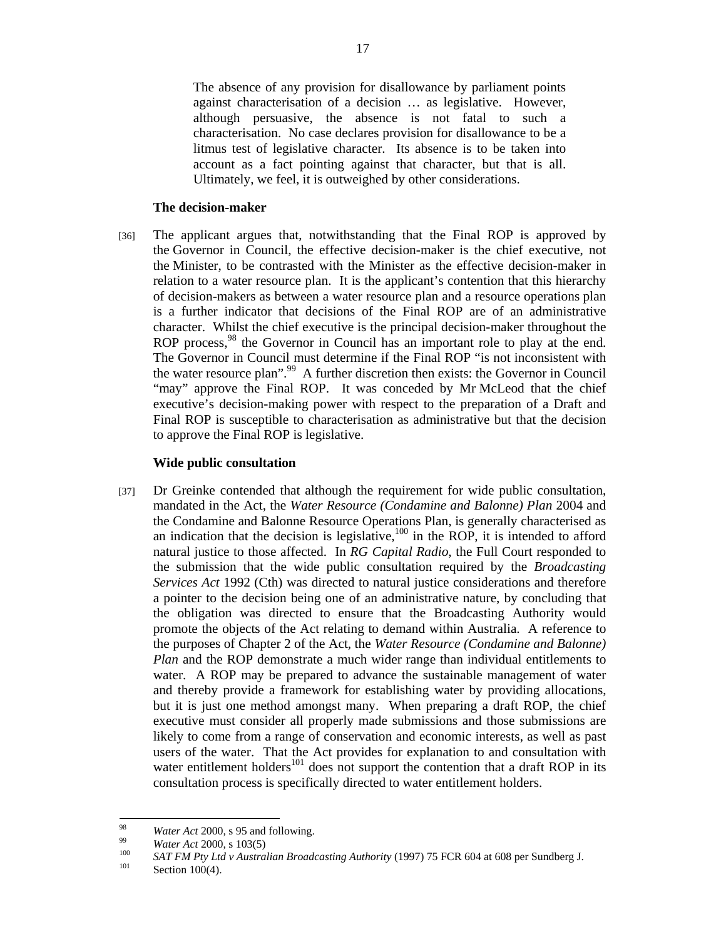The absence of any provision for disallowance by parliament points against characterisation of a decision … as legislative. However, although persuasive, the absence is not fatal to such a characterisation. No case declares provision for disallowance to be a litmus test of legislative character. Its absence is to be taken into account as a fact pointing against that character, but that is all. Ultimately, we feel, it is outweighed by other considerations.

#### **The decision-maker**

[36] The applicant argues that, notwithstanding that the Final ROP is approved by the Governor in Council, the effective decision-maker is the chief executive, not the Minister, to be contrasted with the Minister as the effective decision-maker in relation to a water resource plan. It is the applicant's contention that this hierarchy of decision-makers as between a water resource plan and a resource operations plan is a further indicator that decisions of the Final ROP are of an administrative character. Whilst the chief executive is the principal decision-maker throughout the ROP process,<sup>98</sup> the Governor in Council has an important role to play at the end. The Governor in Council must determine if the Final ROP "is not inconsistent with the water resource plan".<sup>99</sup> A further discretion then exists: the Governor in Council "may" approve the Final ROP. It was conceded by Mr McLeod that the chief executive's decision-making power with respect to the preparation of a Draft and Final ROP is susceptible to characterisation as administrative but that the decision to approve the Final ROP is legislative.

## **Wide public consultation**

[37] Dr Greinke contended that although the requirement for wide public consultation, mandated in the Act, the *Water Resource (Condamine and Balonne) Plan* 2004 and the Condamine and Balonne Resource Operations Plan, is generally characterised as an indication that the decision is legislative,  $100$  in the ROP, it is intended to afford natural justice to those affected. In *RG Capital Radio*, the Full Court responded to the submission that the wide public consultation required by the *Broadcasting Services Act* 1992 (Cth) was directed to natural justice considerations and therefore a pointer to the decision being one of an administrative nature, by concluding that the obligation was directed to ensure that the Broadcasting Authority would promote the objects of the Act relating to demand within Australia. A reference to the purposes of Chapter 2 of the Act, the *Water Resource (Condamine and Balonne) Plan* and the ROP demonstrate a much wider range than individual entitlements to water. A ROP may be prepared to advance the sustainable management of water and thereby provide a framework for establishing water by providing allocations, but it is just one method amongst many. When preparing a draft ROP, the chief executive must consider all properly made submissions and those submissions are likely to come from a range of conservation and economic interests, as well as past users of the water. That the Act provides for explanation to and consultation with water entitlement holders $^{101}$  does not support the contention that a draft ROP in its consultation process is specifically directed to water entitlement holders.

 $Q\overline{Q}$ 

<sup>&</sup>lt;sup>98</sup> *Water Act* 2000, s 95 and following.<br><sup>99</sup> *Water Act* 2000, s 103(5)<br><sup>100</sup> *SAT FM Pty Ltd v Australian Broadcasting Authority* (1997) 75 FCR 604 at 608 per Sundberg J.<br><sup>101</sup> Section 100(4).